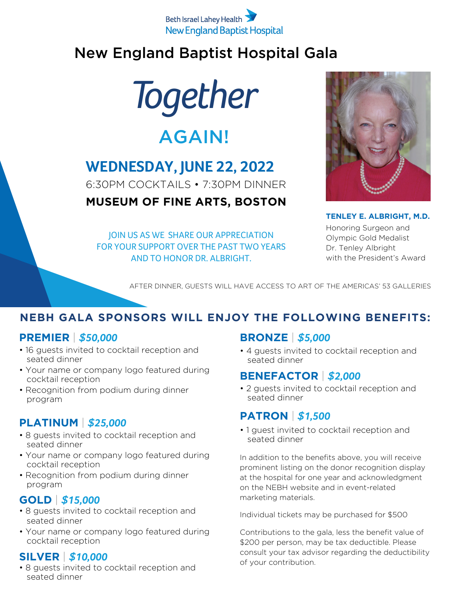#### Beth Israel Lahey Health **New England Baptist Hospital**

### New England Baptist Hospital Gala

*Together*

## AGAIN!

## **WEDNESDAY, JUNE 22, 2022**

6:30PM COCKTAILS • 7:30PM DINNER

#### **MUSEUM OF FINE ARTS, BOSTON**

JOIN US AS WE SHARE OUR APPRECIATION FOR YOUR SUPPORT OVER THE PAST TWO YEARS AND TO HONOR DR. ALBRIGHT.



**TENLEY E. ALBRIGHT, M.D.**

Honoring Surgeon and Olympic Gold Medalist Dr. Tenley Albright with the President's Award

AFTER DINNER, GUESTS WILL HAVE ACCESS TO ART OF THE AMERICAS' 53 GALLERIES

#### **NEBH GALA SPONSORS WILL ENJOY THE FOLLOWING BENEFITS:**

#### **PREMIER** | *\$50,000*

- 16 guests invited to cocktail reception and seated dinner
- Your name or company logo featured during cocktail reception
- Recognition from podium during dinner program

#### **PLATINUM** | *\$25,000*

- 8 guests invited to cocktail reception and seated dinner
- Your name or company logo featured during cocktail reception
- Recognition from podium during dinner program

#### **GOLD** | *\$15,000*

- 8 guests invited to cocktail reception and seated dinner
- Your name or company logo featured during cocktail reception

#### **SILVER** | *\$10,000*

• 8 guests invited to cocktail reception and seated dinner

#### **BRONZE** | *\$5,000*

• 4 guests invited to cocktail reception and seated dinner

#### **BENEFACTOR** | *\$2,000*

• 2 guests invited to cocktail reception and seated dinner

#### **PATRON** | *\$1,500*

• 1 guest invited to cocktail reception and seated dinner

In addition to the benefits above, you will receive prominent listing on the donor recognition display at the hospital for one year and acknowledgment on the NEBH website and in event-related marketing materials.

Individual tickets may be purchased for \$500

Contributions to the gala, less the benefit value of \$200 per person, may be tax deductible. Please consult your tax advisor regarding the deductibility of your contribution.